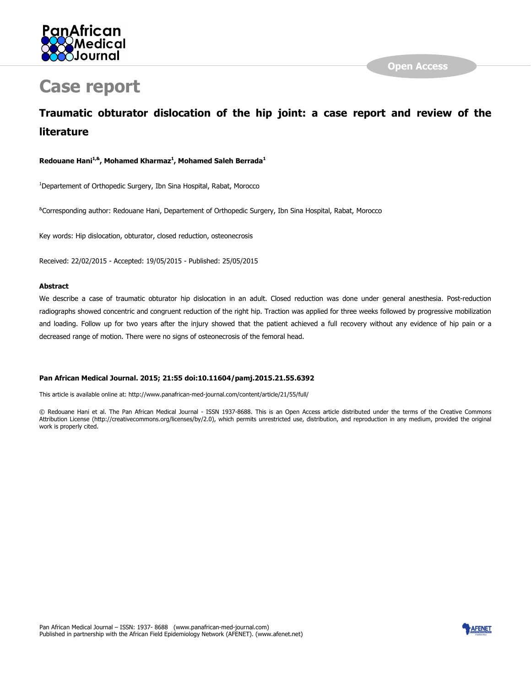

# Case report

# Traumatic obturator dislocation of the hip joint: a case report and review of the literature

Redouane Hani<sup>1,&</sup>, Mohamed Kharmaz<sup>1</sup>, Mohamed Saleh Berrada<sup>1</sup>

<sup>1</sup>Departement of Orthopedic Surgery, Ibn Sina Hospital, Rabat, Morocco

&Corresponding author: Redouane Hani, Departement of Orthopedic Surgery, Ibn Sina Hospital, Rabat, Morocco

Key words: Hip dislocation, obturator, closed reduction, osteonecrosis

Received: 22/02/2015 - Accepted: 19/05/2015 - Published: 25/05/2015

#### Abstract

We describe a case of traumatic obturator hip dislocation in an adult. Closed reduction was done under general anesthesia. Post-reduction radiographs showed concentric and congruent reduction of the right hip. Traction was applied for three weeks followed by progressive mobilization and loading. Follow up for two years after the injury showed that the patient achieved a full recovery without any evidence of hip pain or a decreased range of motion. There were no signs of osteonecrosis of the femoral head.

#### Pan African Medical Journal. 2015; 21:55 doi:10.11604/pamj.2015.21.55.6392

This article is available online at: http://www.panafrican-med-journal.com/content/article/21/55/full/

© Redouane Hani et al. The Pan African Medical Journal - ISSN 1937-8688. This is an Open Access article distributed under the terms of the Creative Commons Attribution License (http://creativecommons.org/licenses/by/2.0), which permits unrestricted use, distribution, and reproduction in any medium, provided the original work is properly cited.

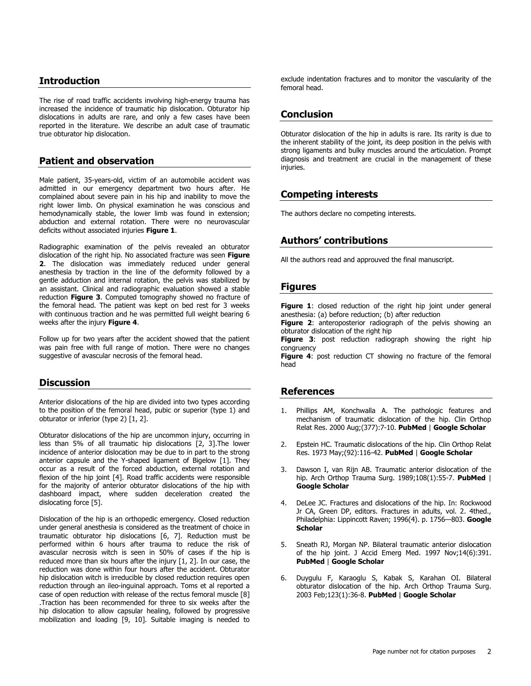#### **Introduction**

The rise of road traffic accidents involving high-energy trauma has increased the incidence of traumatic hip dislocation. Obturator hip dislocations in adults are rare, and only a few cases have been reported in the literature. We describe an adult case of traumatic true obturator hip dislocation.

#### Patient and observation

Male patient, 35-years-old, victim of an automobile accident was admitted in our emergency department two hours after. He complained about severe pain in his hip and inability to move the right lower limb. On physical examination he was conscious and hemodynamically stable, the lower limb was found in extension; abduction and external rotation. There were no neurovascular deficits without associated injuries Figure 1.

Radiographic examination of the pelvis revealed an obturator dislocation of the right hip. No associated fracture was seen Figure 2. The dislocation was immediately reduced under general anesthesia by traction in the line of the deformity followed by a gentle adduction and internal rotation, the pelvis was stabilized by an assistant. Clinical and radiographic evaluation showed a stable reduction Figure 3. Computed tomography showed no fracture of the femoral head. The patient was kept on bed rest for 3 weeks with continuous traction and he was permitted full weight bearing 6 weeks after the injury Figure 4.

Follow up for two years after the accident showed that the patient was pain free with full range of motion. There were no changes suggestive of avascular necrosis of the femoral head.

#### **Discussion**

Anterior dislocations of the hip are divided into two types according to the position of the femoral head, pubic or superior (type 1) and obturator or inferior (type 2) [1, 2].

Obturator dislocations of the hip are uncommon injury, occurring in less than 5% of all traumatic hip dislocations [2, 3].The lower incidence of anterior dislocation may be due to in part to the strong anterior capsule and the Y-shaped ligament of Bigelow [1]. They occur as a result of the forced abduction, external rotation and flexion of the hip joint [4]. Road traffic accidents were responsible for the majority of anterior obturator dislocations of the hip with dashboard impact, where sudden deceleration created the dislocating force [5].

Dislocation of the hip is an orthopedic emergency. Closed reduction under general anesthesia is considered as the treatment of choice in traumatic obturator hip dislocations [6, 7]. Reduction must be performed within 6 hours after trauma to reduce the risk of avascular necrosis witch is seen in 50% of cases if the hip is reduced more than six hours after the injury [1, 2]. In our case, the reduction was done within four hours after the accident. Obturator hip dislocation witch is irreducible by closed reduction requires open reduction through an ileo-inguinal approach. Toms et al reported a case of open reduction with release of the rectus femoral muscle [8] .Traction has been recommended for three to six weeks after the hip dislocation to allow capsular healing, followed by progressive mobilization and loading [9, 10]. Suitable imaging is needed to

exclude indentation fractures and to monitor the vascularity of the femoral head.

#### Conclusion

Obturator dislocation of the hip in adults is rare. Its rarity is due to the inherent stability of the joint, its deep position in the pelvis with strong ligaments and bulky muscles around the articulation. Prompt diagnosis and treatment are crucial in the management of these injuries.

## Competing interests

The authors declare no competing interests.

### Authors' contributions

All the authors read and approuved the final manuscript.

#### Figures

Figure 1: closed reduction of the right hip joint under general anesthesia: (a) before reduction; (b) after reduction

Figure 2: anteroposterior radiograph of the pelvis showing an obturator dislocation of the right hip

**Figure 3:** post reduction radiograph showing the right hip congruency

Figure 4: post reduction CT showing no fracture of the femoral head

#### References

- 1. Phillips AM, Konchwalla A. The pathologic features and mechanism of traumatic dislocation of the hip. Clin Orthop Relat Res. 2000 Aug;(377):7-10. PubMed | Google Scholar
- 2. Epstein HC. Traumatic dislocations of the hip. Clin Orthop Relat Res. 1973 May;(92):116-42. PubMed | Google Scholar
- 3. Dawson I, van Rijn AB. Traumatic anterior dislocation of the hip. Arch Orthop Trauma Surg. 1989;108(1):55-7. **PubMed** | Google Scholar
- 4. DeLee JC. Fractures and dislocations of the hip. In: Rockwood Jr CA, Green DP, editors. Fractures in adults, vol. 2. 4thed., Philadelphia: Lippincott Raven; 1996(4). p. 1756-803. Google **Scholar**
- 5. Sneath RJ, Morgan NP. Bilateral traumatic anterior dislocation of the hip joint. J Accid Emerg Med. 1997 Nov;14(6):391. PubMed | Google Scholar
- 6. Duygulu F, Karaoglu S, Kabak S, Karahan OI. Bilateral obturator dislocation of the hip. Arch Orthop Trauma Surg. 2003 Feb;123(1):36-8. PubMed | Google Scholar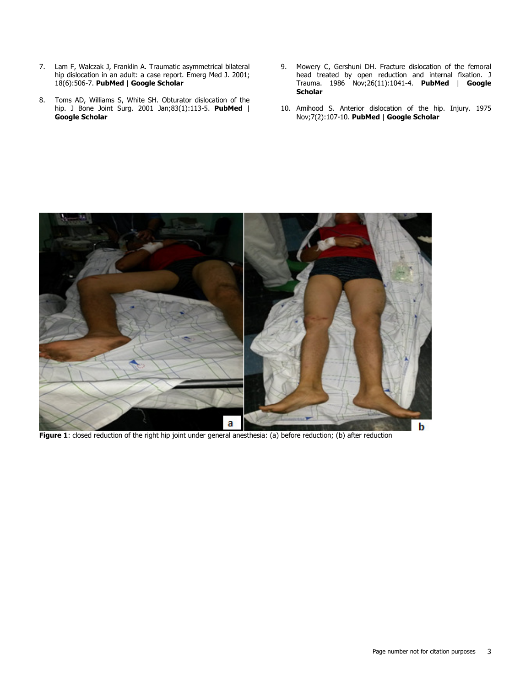- 7. Lam F, Walczak J, Franklin A. Traumatic asymmetrical bilateral hip dislocation in an adult: a case report. Emerg Med J. 2001; 18(6):506-7. PubMed | Google Scholar
- 8. Toms AD, Williams S, White SH. Obturator dislocation of the hip. J Bone Joint Surg. 2001 Jan;83(1):113-5. PubMed | Google Scholar
- 9. Mowery C, Gershuni DH. Fracture dislocation of the femoral head treated by open reduction and internal fixation. J Trauma. 1986 Nov;26(11):1041-4. PubMed | Google **Scholar**
- 10. Amihood S. Anterior dislocation of the hip. Injury. 1975 Nov;7(2):107-10. PubMed | Google Scholar



Figure 1: closed reduction of the right hip joint under general anesthesia: (a) before reduction; (b) after reduction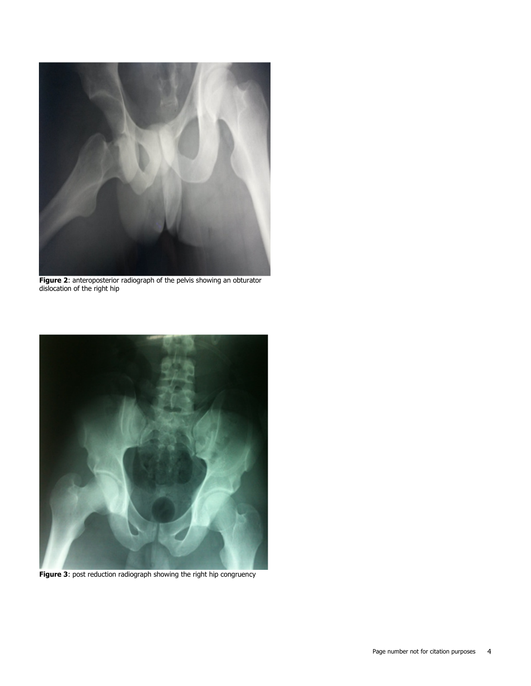

**Figure 2:** anteroposterior radiograph of the pelvis showing an obturator dislocation of the right hip



Figure 3: post reduction radiograph showing the right hip congruency